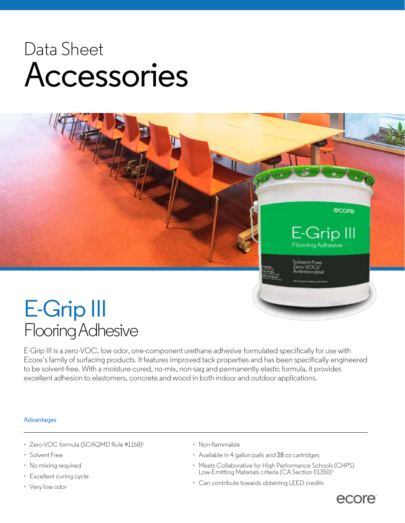## Data Sheet Accessories

# ecore E-Grip III looring Adhesive xvent-Free

### E-Grip III Flooring Adhesive

E-Grip III is a zero-VOC, low odor, one-component urethane adhesive formulated specifically for use with Ecore's family of surfacing products. It features improved tack properties and has been specifically engineered to be solvent-free. With a moisture-cured, no-mix, non-sag and permanently elastic formula, it provides excellent adhesion to elastomers, concrete and wood in both indoor and outdoor applications.

#### Advantages

- Zero-VOC formula (SCAQMD Rule #1168)<sup>1</sup>
- Solvent Free
- No mixing required
- Excellent curing cycle
- Very low odor
- Non-flammable
- Available in 4 gallon pails and 28 oz cartridges
- Meets Collaborative for High Performance Schools (CHPS) Low-Emitting Materials criteria (CA Section 01350)<sup>2</sup>
- Can contribute towards obtaining LEED credits